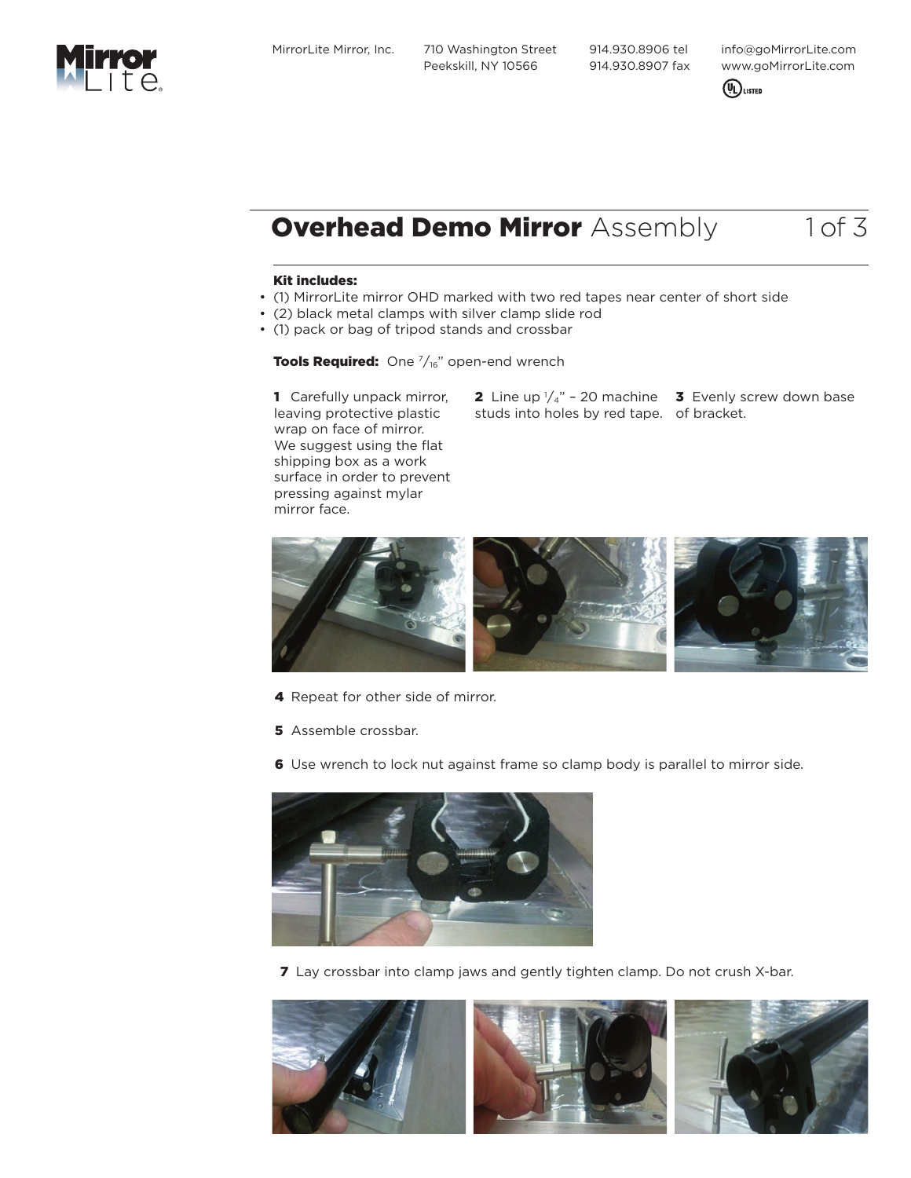MirrorLite Mirror, Inc. 710 Washington Street Peekskill, NY 10566

 914.930.8906 tel 914.930.8907 fax info@goMirrorLite.com www.goMirrorLite.com



# **Overhead Demo Mirror** Assembly 1 of 3

#### Kit includes:

- (1) MirrorLite mirror OHD marked with two red tapes near center of short side
- (2) black metal clamps with silver clamp slide rod
- (1) pack or bag of tripod stands and crossbar

**Tools Required:** One  $\frac{7}{16}$ " open-end wrench

1 Carefully unpack mirror, leaving protective plastic wrap on face of mirror. We suggest using the flat shipping box as a work surface in order to prevent pressing against mylar mirror face.

**2** Line up  $\frac{1}{4}$  – 20 machine **3** Evenly screw down base studs into holes by red tape. of bracket.



- 4 Repeat for other side of mirror.
- **5** Assemble crossbar.
- 6 Use wrench to lock nut against frame so clamp body is parallel to mirror side.



7 Lay crossbar into clamp jaws and gently tighten clamp. Do not crush X-bar.



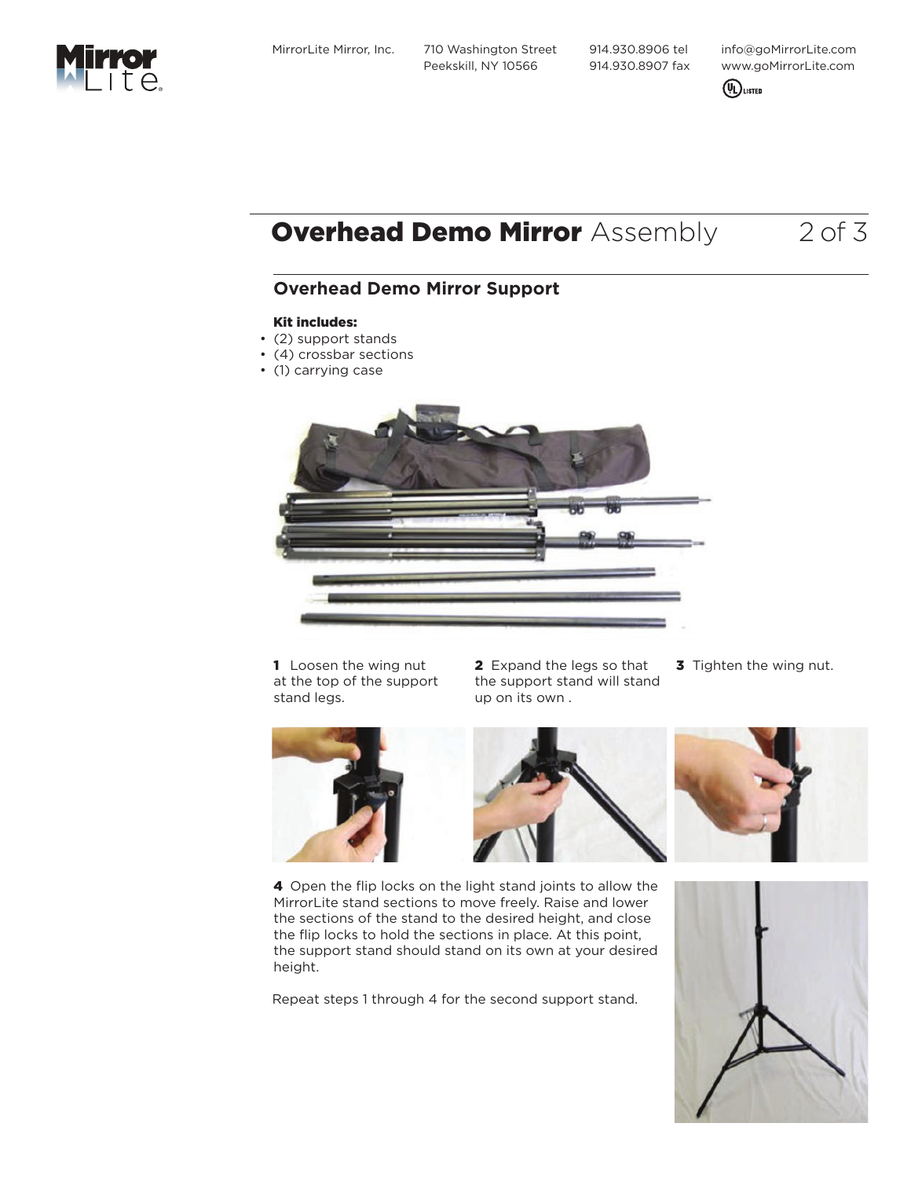MirrorLite Mirror, Inc. 710 Washington Street Peekskill, NY 10566

 914.930.8906 tel 914.930.8907 fax info@goMirrorLite.com www.goMirrorLite.com



# **Overhead Demo Mirror** Assembly 2 of 3

### **Overhead Demo Mirror Support**

### Kit includes:

- (2) support stands
- (4) crossbar sections
- (1) carrying case



1 Loosen the wing nut at the top of the support stand legs.

2 Expand the legs so that the support stand will stand up on its own .

**3** Tighten the wing nut.



4 Open the flip locks on the light stand joints to allow the MirrorLite stand sections to move freely. Raise and lower the sections of the stand to the desired height, and close the flip locks to hold the sections in place. At this point, the support stand should stand on its own at your desired height.

Repeat steps 1 through 4 for the second support stand.